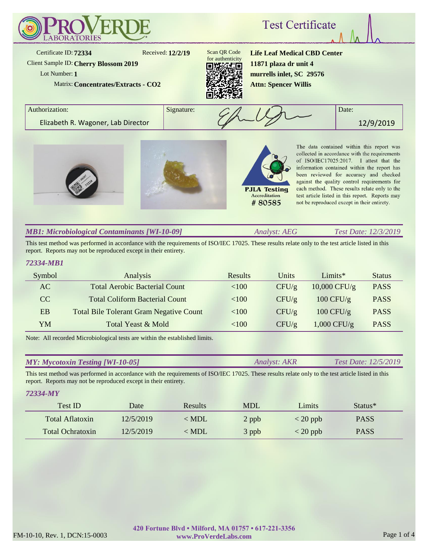

# *MB1: Microbiological Contaminants [WI-10-09]*

*Analyst: AEG Test Date: 12/3/2019*

This test method was performed in accordance with the requirements of ISO/IEC 17025. These results relate only to the test article listed in this report. Reports may not be reproduced except in their entirety.

### *72334-MB1*

*72334-MY*

| Symbol    | Analysis                                       | Results  | Units | $Limits*$      | <b>Status</b> |
|-----------|------------------------------------------------|----------|-------|----------------|---------------|
| AC        | <b>Total Aerobic Bacterial Count</b>           | < 100    | CFU/g | $10,000$ CFU/g | <b>PASS</b>   |
| CC        | <b>Total Coliform Bacterial Count</b>          | < 100    | CFU/g | 100 CFU/g      | <b>PASS</b>   |
| <b>EB</b> | <b>Total Bile Tolerant Gram Negative Count</b> | < 100    | CFU/g | 100 CFU/g      | <b>PASS</b>   |
| YM        | Total Yeast & Mold                             | ${<}100$ | CFU/g | $1,000$ CFU/g  | <b>PASS</b>   |

Note: All recorded Microbiological tests are within the established limits.

| <b>MY: Mycotoxin Testing [WI-10-05]</b> | <i>Analyst: AKR</i> | <i>Test Date: 12/5/2019</i> |
|-----------------------------------------|---------------------|-----------------------------|
|-----------------------------------------|---------------------|-----------------------------|

This test method was performed in accordance with the requirements of ISO/IEC 17025. These results relate only to the test article listed in this report. Reports may not be reproduced except in their entirety.

| 1 2333 T 311 L          |           |                |            |                |                     |  |
|-------------------------|-----------|----------------|------------|----------------|---------------------|--|
| Test ID                 | Date      | <b>Results</b> | <b>MDL</b> | Limits         | Status <sup>*</sup> |  |
| Total Aflatoxin         | 12/5/2019 | $<$ MDL        | 2 ppb      | $\rm < 20$ ppb | <b>PASS</b>         |  |
| <b>Total Ochratoxin</b> | 12/5/2019 | $<$ MDL        | 3 ppb      | $<$ 20 ppb     | <b>PASS</b>         |  |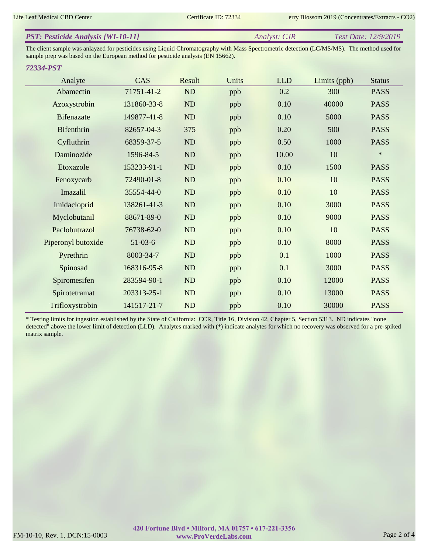| <b>PST: Pesticide Analysis [WI-10-11]</b> | Analyst: CJR | <i>Test Date: 12/9/2019</i> |
|-------------------------------------------|--------------|-----------------------------|
|                                           |              |                             |

The client sample was anlayzed for pesticides using Liquid Chromatography with Mass Spectrometric detection (LC/MS/MS). The method used for sample prep was based on the European method for pesticide analysis (EN 15662).

### *72334-PST*

| Analyte            | CAS         | Result    | Units | <b>LLD</b> | Limits (ppb) | <b>Status</b> |
|--------------------|-------------|-----------|-------|------------|--------------|---------------|
| Abamectin          | 71751-41-2  | ND        | ppb   | 0.2        | 300          | <b>PASS</b>   |
| Azoxystrobin       | 131860-33-8 | ND        | ppb   | 0.10       | 40000        | <b>PASS</b>   |
| <b>Bifenazate</b>  | 149877-41-8 | ND        | ppb   | 0.10       | 5000         | <b>PASS</b>   |
| Bifenthrin         | 82657-04-3  | 375       | ppb   | 0.20       | 500          | <b>PASS</b>   |
| Cyfluthrin         | 68359-37-5  | ND        | ppb   | 0.50       | 1000         | <b>PASS</b>   |
| Daminozide         | 1596-84-5   | ND        | ppb   | 10.00      | 10           | $\ast$        |
| Etoxazole          | 153233-91-1 | ND        | ppb   | 0.10       | 1500         | <b>PASS</b>   |
| Fenoxycarb         | 72490-01-8  | ND        | ppb   | 0.10       | 10           | <b>PASS</b>   |
| Imazalil           | 35554-44-0  | ND        | ppb   | 0.10       | 10           | <b>PASS</b>   |
| Imidacloprid       | 138261-41-3 | ND        | ppb   | 0.10       | 3000         | <b>PASS</b>   |
| Myclobutanil       | 88671-89-0  | ND        | ppb   | 0.10       | 9000         | <b>PASS</b>   |
| Paclobutrazol      | 76738-62-0  | <b>ND</b> | ppb   | 0.10       | 10           | <b>PASS</b>   |
| Piperonyl butoxide | $51-03-6$   | ND        | ppb   | 0.10       | 8000         | <b>PASS</b>   |
| Pyrethrin          | 8003-34-7   | ND        | ppb   | 0.1        | 1000         | <b>PASS</b>   |
| Spinosad           | 168316-95-8 | ND        | ppb   | 0.1        | 3000         | <b>PASS</b>   |
| Spiromesifen       | 283594-90-1 | ND        | ppb   | 0.10       | 12000        | <b>PASS</b>   |
| Spirotetramat      | 203313-25-1 | ND        | ppb   | 0.10       | 13000        | <b>PASS</b>   |
| Trifloxystrobin    | 141517-21-7 | ND        | ppb   | 0.10       | 30000        | <b>PASS</b>   |

\* Testing limits for ingestion established by the State of California: CCR, Title 16, Division 42, Chapter 5, Section 5313. ND indicates "none detected" above the lower limit of detection (LLD). Analytes marked with (\*) indicate analytes for which no recovery was observed for a pre-spiked matrix sample.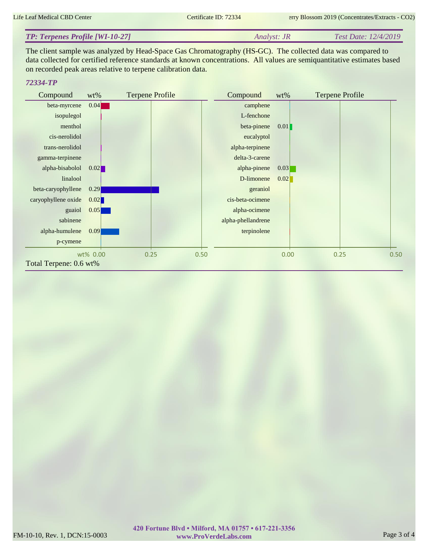#### *Analyst: JR Test Date: 12/4/2019 TP: Terpenes Profile [WI-10-27]*

The client sample was analyzed by Head-Space Gas Chromatography (HS-GC). The collected data was compared to data collected for certified reference standards at known concentrations. All values are semiquantitative estimates based on recorded peak areas relative to terpene calibration data.

## *72334-TP*